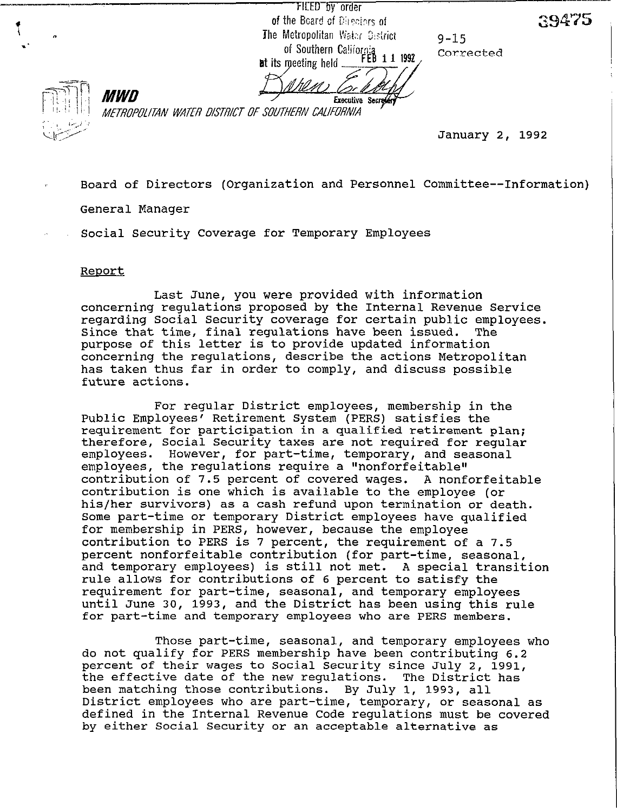FILED by order of the Board of Directors of The Metropolitan Water Gestrict of Southern California<br>of Southern California<br>meeting held FEB 11 1992 at its meeting held

9-15 Corrected



 $\mathbf{i}$  n  $\mathbf{v}^{\mathbf{t}}$ 

> Executive Secreter METROPOLITAN WATER DISTRICT OF SOUTHERN CALIFORNIA

> > *\-[<\$'* January 2, 1992

29475

- Board of Directors (Organization and Personnel Committee--Information) General Manager
	- Social Security Coverage for Temporary Employees

## Report

MWD

Last June, you were provided with information concerning regulations proposed by the Internal Revenue Service regarding Social Security coverage for certain public employees. Since that time, final regulations have been issued. The purpose of this letter is to provide updated information concerning the regulations, describe the actions Metropolitan has taken thus far in order to comply, and discuss possible future actions.

For regular District employees, membership in the Public Employees' Retirement System (PERS) satisfies the requirement for participation in a qualified retirement plan; therefore, Social Security taxes are not required for regular employees. However, for part-time, temporary, and seasonal employees, the regulations require a "nonforfeitable" contribution of 7.5 percent of covered wages. A nonforfeitable contribution is one which is available to the employee (or his/her survivors) as a cash refund upon termination or death. Some part-time or temporary District employees have qualified for membership in PERS, however, because the employee contribution to PERS is 7 percent, the requirement of a 7.5 percent nonforfeitable contribution (for part-time, seasonal, and temporary employees) is still not met. A special transition rule allows for contributions of 6 percent to satisfy the requirement for part-time, seasonal, and temporary employees until June 30, 1993, and the District has been using this rule for part-time and temporary employees who are PERS members.

Those part-time, seasonal, and temporary employees who *do* not qualify for PERS membership have been contributing 6.2 percent of their wages to Social Security since July 2, 1991, the effective date of the new regulations. The District has been matching those contributions. By July 1, 1993, all District employees who are part-time, temporary, or seasonal as defined in the Internal Revenue Code regulations must be covered by either Social Security or an acceptable alternative as